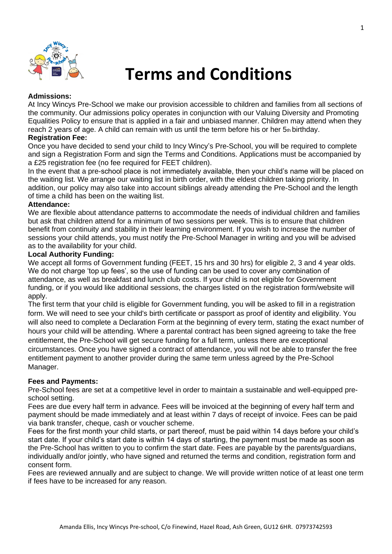

# **Terms and Conditions**

# **Admissions:**

At Incy Wincys Pre-School we make our provision accessible to children and families from all sections of the community. Our admissions policy operates in conjunction with our Valuing Diversity and Promoting Equalities Policy to ensure that is applied in a fair and unbiased manner. Children may attend when they reach 2 years of age. A child can remain with us until the term before his or her 5th birthday.

# **Registration Fee:**

Once you have decided to send your child to Incy Wincy's Pre-School, you will be required to complete and sign a Registration Form and sign the Terms and Conditions. Applications must be accompanied by a £25 registration fee (no fee required for FEET children).

In the event that a pre-school place is not immediately available, then your child's name will be placed on the waiting list. We arrange our waiting list in birth order, with the eldest children taking priority. In addition, our policy may also take into account siblings already attending the Pre-School and the length of time a child has been on the waiting list.

# **Attendance:**

We are flexible about attendance patterns to accommodate the needs of individual children and families but ask that children attend for a minimum of two sessions per week. This is to ensure that children benefit from continuity and stability in their learning environment. If you wish to increase the number of sessions your child attends, you must notify the Pre-School Manager in writing and you will be advised as to the availability for your child.

# **Local Authority Funding:**

We accept all forms of Government funding (FEET, 15 hrs and 30 hrs) for eligible 2, 3 and 4 year olds. We do not charge 'top up fees', so the use of funding can be used to cover any combination of attendance, as well as breakfast and lunch club costs. If your child is not eligible for Government funding, or if you would like additional sessions, the charges listed on the registration form/website will apply.

The first term that your child is eligible for Government funding, you will be asked to fill in a registration form. We will need to see your child's birth certificate or passport as proof of identity and eligibility. You will also need to complete a Declaration Form at the beginning of every term, stating the exact number of hours your child will be attending. Where a parental contract has been signed agreeing to take the free entitlement, the Pre-School will get secure funding for a full term, unless there are exceptional circumstances. Once you have signed a contract of attendance, you will not be able to transfer the free entitlement payment to another provider during the same term unless agreed by the Pre-School Manager.

# **Fees and Payments:**

Pre-School fees are set at a competitive level in order to maintain a sustainable and well-equipped preschool setting.

Fees are due every half term in advance. Fees will be invoiced at the beginning of every half term and payment should be made immediately and at least within 7 days of receipt of invoice. Fees can be paid via bank transfer, cheque, cash or voucher scheme.

Fees for the first month your child starts, or part thereof, must be paid within 14 days before your child's start date. If your child's start date is within 14 days of starting, the payment must be made as soon as the Pre-School has written to you to confirm the start date. Fees are payable by the parents/guardians, individually and/or jointly, who have signed and returned the terms and condition, registration form and consent form.

Fees are reviewed annually and are subject to change. We will provide written notice of at least one term if fees have to be increased for any reason.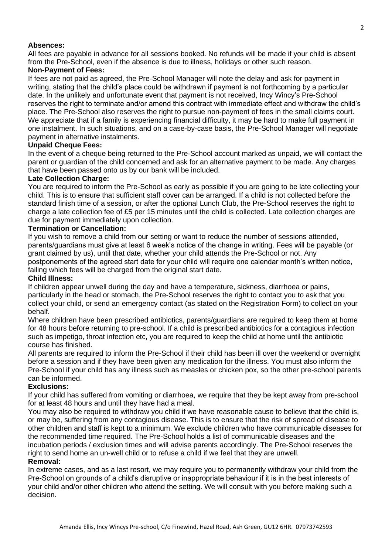# **Absences:**

All fees are payable in advance for all sessions booked. No refunds will be made if your child is absent from the Pre-School, even if the absence is due to illness, holidays or other such reason.

# **Non-Payment of Fees:**

If fees are not paid as agreed, the Pre-School Manager will note the delay and ask for payment in writing, stating that the child's place could be withdrawn if payment is not forthcoming by a particular date. In the unlikely and unfortunate event that payment is not received, Incy Wincy's Pre-School reserves the right to terminate and/or amend this contract with immediate effect and withdraw the child's place. The Pre-School also reserves the right to pursue non-payment of fees in the small claims court. We appreciate that if a family is experiencing financial difficulty, it may be hard to make full payment in one instalment. In such situations, and on a case-by-case basis, the Pre-School Manager will negotiate payment in alternative instalments.

# **Unpaid Cheque Fees:**

In the event of a cheque being returned to the Pre-School account marked as unpaid, we will contact the parent or guardian of the child concerned and ask for an alternative payment to be made. Any charges that have been passed onto us by our bank will be included.

#### **Late Collection Charge:**

You are required to inform the Pre-School as early as possible if you are going to be late collecting your child. This is to ensure that sufficient staff cover can be arranged. If a child is not collected before the standard finish time of a session, or after the optional Lunch Club, the Pre-School reserves the right to charge a late collection fee of £5 per 15 minutes until the child is collected. Late collection charges are due for payment immediately upon collection.

## **Termination or Cancellation:**

If you wish to remove a child from our setting or want to reduce the number of sessions attended, parents/guardians must give at least 6 week's notice of the change in writing. Fees will be payable (or grant claimed by us), until that date, whether your child attends the Pre-School or not. Any postponements of the agreed start date for your child will require one calendar month's written notice, failing which fees will be charged from the original start date.

#### **Child Illness:**

If children appear unwell during the day and have a temperature, sickness, diarrhoea or pains, particularly in the head or stomach, the Pre-School reserves the right to contact you to ask that you collect your child, or send an emergency contact (as stated on the Registration Form) to collect on your behalf.

Where children have been prescribed antibiotics, parents/guardians are required to keep them at home for 48 hours before returning to pre-school. If a child is prescribed antibiotics for a contagious infection such as impetigo, throat infection etc, you are required to keep the child at home until the antibiotic course has finished.

All parents are required to inform the Pre-School if their child has been ill over the weekend or overnight before a session and if they have been given any medication for the illness. You must also inform the Pre-School if your child has any illness such as measles or chicken pox, so the other pre-school parents can be informed.

# **Exclusions:**

If your child has suffered from vomiting or diarrhoea, we require that they be kept away from pre-school for at least 48 hours and until they have had a meal.

You may also be required to withdraw you child if we have reasonable cause to believe that the child is, or may be, suffering from any contagious disease. This is to ensure that the risk of spread of disease to other children and staff is kept to a minimum. We exclude children who have communicable diseases for the recommended time required. The Pre-School holds a list of communicable diseases and the incubation periods / exclusion times and will advise parents accordingly. The Pre-School reserves the right to send home an un-well child or to refuse a child if we feel that they are unwell.

# **Removal:**

In extreme cases, and as a last resort, we may require you to permanently withdraw your child from the Pre-School on grounds of a child's disruptive or inappropriate behaviour if it is in the best interests of your child and/or other children who attend the setting. We will consult with you before making such a decision.